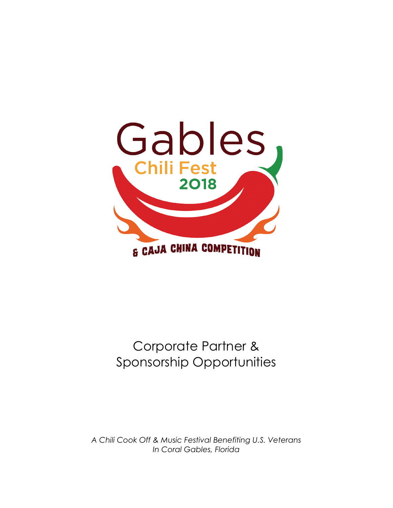

# Corporate Partner & Sponsorship Opportunities

*A Chili Cook Off & Music Festival Benefiting U.S. Veterans In Coral Gables, Florida*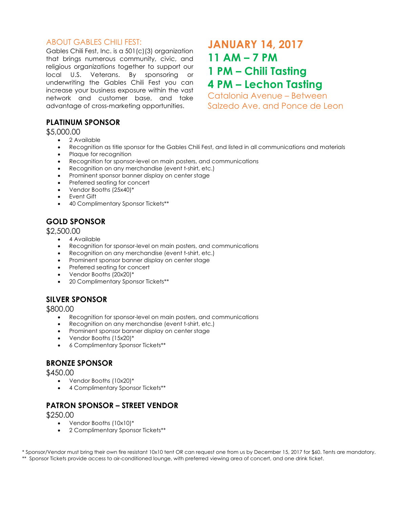#### ABOUT GABLES CHILI FEST:

Gables Chili Fest, Inc. is a 501(c)(3) organization that brings numerous community, civic, and religious organizations together to support our local U.S. Veterans. By sponsoring or underwriting the Gables Chili Fest you can increase your business exposure within the vast network and customer base, and take advantage of cross-marketing opportunities.

# **JANUARY 14, 2017 11 AM – 7 PM 1 PM – Chili Tasting 4 PM – Lechon Tasting**

Catalonia Avenue – Between Salzedo Ave. and Ponce de Leon

#### **PLATINUM SPONSOR**

#### \$5,000.00

- 2 Available
- Recognition as title sponsor for the Gables Chili Fest, and listed in all communications and materials
- Plaque for recognition
- Recognition for sponsor-level on main posters, and communications
- Recognition on any merchandise (event t-shirt, etc.)
- Prominent sponsor banner display on center stage
- Preferred seating for concert
- Vendor Booths (25x40)\*
- Event Gift
- 40 Complimentary Sponsor Tickets\*\*

## **GOLD SPONSOR**

\$2,500.00

- 4 Available
- Recognition for sponsor-level on main posters, and communications
- Recognition on any merchandise (event t-shirt, etc.)
- Prominent sponsor banner display on center stage
- Preferred seating for concert
- Vendor Booths (20x20)\*
- 20 Complimentary Sponsor Tickets\*\*

### **SILVER SPONSOR**

\$800.00

- Recognition for sponsor-level on main posters, and communications
- Recognition on any merchandise (event t-shirt, etc.)
- Prominent sponsor banner display on center stage
- Vendor Booths (15x20)\*
- 6 Complimentary Sponsor Tickets\*\*

### **BRONZE SPONSOR**

\$450.00

- Vendor Booths (10x20)\*
- 4 Complimentary Sponsor Tickets\*\*

### **PATRON SPONSOR – STREET VENDOR**

\$250.00

- Vendor Booths (10x10)\*
- 2 Complimentary Sponsor Tickets\*\*

\* Sponsor/Vendor must bring their own fire resistant 10x10 tent OR can request one from us by December 15, 2017 for \$60. Tents are mandatory. \*\* Sponsor Tickets provide access to air-conditioned lounge, with preferred viewing area of concert, and one drink ticket.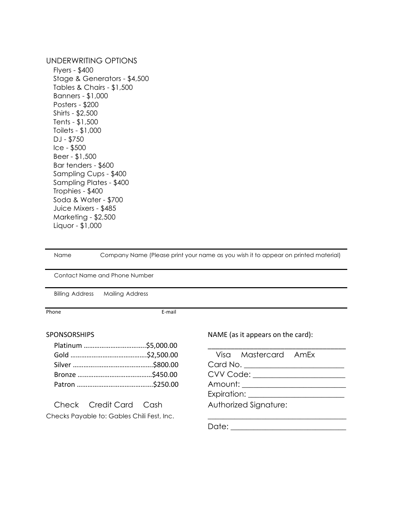#### UNDERWRITING OPTIONS

 Flyers - \$400 Stage & Generators - \$4,500 Tables & Chairs - \$1,500 Banners - \$1,000 Posters - \$200 Shirts - \$2,500 Tents - \$1,500 Toilets - \$1,000 DJ - \$750 Ice - \$500 Beer - \$1,500 Bar tenders - \$600 Sampling Cups - \$400 Sampling Plates - \$400 Trophies - \$400 Soda & Water - \$700 Juice Mixers - \$485 Marketing - \$2,500 Liquor - \$1,000

 Name Company Name (Please print your name as you wish it to appear on printed material) Contact Name and Phone Number Billing Address Mailing Address Phone **E-mail** SPONSORSHIPS **NAME** (as it appears on the card): Platinum ……………………………..\$5,000.00 \_\_\_\_\_\_\_\_\_\_\_\_\_\_\_\_\_\_\_\_\_\_\_\_\_\_\_\_\_\_\_\_\_\_\_\_ Gold …………………………………….\$2,500.00 Visa Mastercard AmEx Silver …………..………………………….\$800.00 Card No. \_\_\_\_\_\_\_\_\_\_\_\_\_\_\_\_\_\_\_\_\_\_\_\_\_\_ Bronze ……………………………………\$450.00 CVV Code: \_\_\_\_\_\_\_\_\_\_\_\_\_\_\_\_\_\_\_\_\_\_\_\_ Patron …………………………………….\$250.00 Amount: \_\_\_\_\_\_\_\_\_\_\_\_\_\_\_\_\_\_\_\_\_\_\_\_\_\_\_ Expiration: \_\_\_\_\_\_\_\_\_\_\_\_\_\_\_\_\_\_\_\_\_\_\_\_\_ Check Credit Card Cash Authorized Signature: Checks Payable to: Gables Chili Fest, Inc. Date:  $\Box$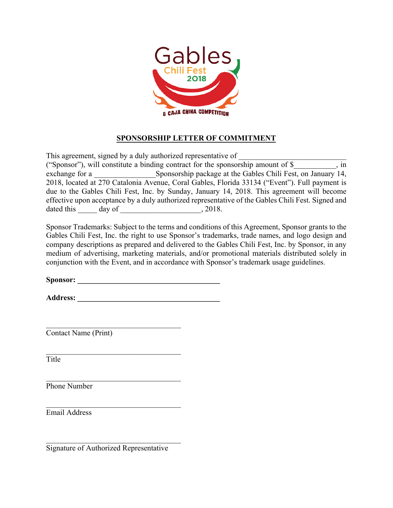

#### **SPONSORSHIP LETTER OF COMMITMENT**

This agreement, signed by a duly authorized representative of ("Sponsor"), will constitute a binding contract for the sponsorship amount of  $\$ , in exchange for a Sponsorship package at the Gables Chili Fest, on January 14, 2018, located at 270 Catalonia Avenue, Coral Gables, Florida 33134 ("Event"). Full payment is due to the Gables Chili Fest, Inc. by Sunday, January 14, 2018. This agreement will become effective upon acceptance by a duly authorized representative of the Gables Chili Fest. Signed and dated this day of 3018.

Sponsor Trademarks: Subject to the terms and conditions of this Agreement, Sponsor grants to the Gables Chili Fest, Inc. the right to use Sponsor's trademarks, trade names, and logo design and company descriptions as prepared and delivered to the Gables Chili Fest, Inc. by Sponsor, in any medium of advertising, marketing materials, and/or promotional materials distributed solely in conjunction with the Event, and in accordance with Sponsor's trademark usage guidelines.

**Sponsor: \_\_\_\_\_\_\_\_\_\_\_\_\_\_\_\_\_\_\_\_\_\_\_\_\_\_\_\_\_\_\_\_\_\_\_\_\_**

**Address: \_\_\_\_\_\_\_\_\_\_\_\_\_\_\_\_\_\_\_\_\_\_\_\_\_\_\_\_\_\_\_\_\_\_\_\_\_**

 $\mathcal{L}_\text{max}$ 

 $\mathcal{L}_\text{max}$  , and the set of the set of the set of the set of the set of the set of the set of the set of the set of the set of the set of the set of the set of the set of the set of the set of the set of the set of the

 $\mathcal{L}_\text{max}$ 

 $\mathcal{L}_\text{max}$  , and the set of the set of the set of the set of the set of the set of the set of the set of the set of the set of the set of the set of the set of the set of the set of the set of the set of the set of the

 $\mathcal{L}_\text{max}$  , and the set of the set of the set of the set of the set of the set of the set of the set of the set of the set of the set of the set of the set of the set of the set of the set of the set of the set of the

Contact Name (Print)

Title

Phone Number

Email Address

Signature of Authorized Representative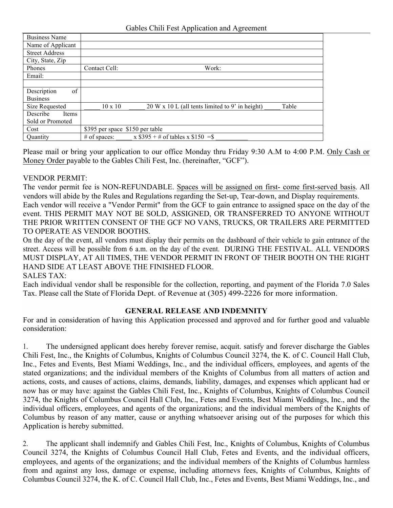| <b>Business Name</b>  |                                                                            |
|-----------------------|----------------------------------------------------------------------------|
| Name of Applicant     |                                                                            |
| <b>Street Address</b> |                                                                            |
| City, State, Zip      |                                                                            |
| Phones                | Contact Cell:<br>Work:                                                     |
| Email:                |                                                                            |
|                       |                                                                            |
| Description<br>of     |                                                                            |
| <b>Business</b>       |                                                                            |
| Size Requested        | 20 W x 10 L (all tents limited to 9' in height)<br>$10 \times 10$<br>Table |
| Describe<br>Items     |                                                                            |
| Sold or Promoted      |                                                                            |
| Cost                  | \$395 per space \$150 per table                                            |
| <b>Quantity</b>       | x $$395 + #$ of tables x $$150 =$ \$<br>$#$ of spaces:                     |

Please mail or bring your application to our office Monday thru Friday 9:30 A.M to 4:00 P.M. Only Cash or Money Order payable to the Gables Chili Fest, Inc. (hereinafter, "GCF").

#### VENDOR PERMIT:

The vendor permit fee is NON-REFUNDABLE. Spaces will be assigned on first- come first-served basis. All vendors will abide by the Rules and Regulations regarding the Set-up, Tear-down, and Display requirements. Each vendor will receive a "Vendor Permit" from the GCF to gain entrance to assigned space on the day of the event. THIS PERMIT MAY NOT BE SOLD, ASSIGNED, OR TRANSFERRED TO ANYONE WITHOUT THE PRIOR WRITTEN CONSENT OF THE GCF NO VANS, TRUCKS, OR TRAILERS ARE PERMITTED TO OPERATE AS VENDOR BOOTHS.

On the day of the event, all vendors must display their permits on the dashboard of their vehicle to gain entrance of the street. Access will be possible from 6 a.m. on the day of the event. DURING THE FESTIVAL. ALL VENDORS MUST DISPLAY, AT All TIMES, THE VENDOR PERMIT IN FRONT OF THEIR BOOTH ON THE RIGHT HAND SIDE AT LEAST ABOVE THE FINISHED FLOOR.

#### SALES TAX:

Each individual vendor shall be responsible for the collection, reporting, and payment of the Florida 7.0 Sales Tax. Please call the State of Florida Dept. of Revenue at (305) 499-2226 for more information.

#### **GENERAL RELEASE AND INDEMNITY**

For and in consideration of having this Application processed and approved and for further good and valuable consideration:

1. The undersigned applicant does hereby forever remise, acquit. satisfy and forever discharge the Gables Chili Fest, Inc., the Knights of Columbus, Knights of Columbus Council 3274, the K. of C. Council Hall Club, Inc., Fetes and Events, Best Miami Weddings, Inc., and the individual officers, employees, and agents of the stated organizations; and the individual members of the Knights of Columbus from all matters of action and actions, costs, and causes of actions, claims, demands, liability, damages, and expenses which applicant had or now has or may have: against the Gables Chili Fest, Inc., Knights of Columbus, Knights of Columbus Council 3274, the Knights of Columbus Council Hall Club, Inc., Fetes and Events, Best Miami Weddings, Inc., and the individual officers, employees, and agents of the organizations; and the individual members of the Knights of Columbus by reason of any matter, cause or anything whatsoever arising out of the purposes for which this Application is hereby submitted.

2. The applicant shall indemnify and Gables Chili Fest, Inc., Knights of Columbus, Knights of Columbus Council 3274, the Knights of Columbus Council Hall Club, Fetes and Events, and the individual officers, employees, and agents of the organizations; and the individual members of the Knights of Columbus harmless from and against any loss, damage or expense, including attornevs fees, Knights of Columbus, Knights of Columbus Council 3274, the K. of C. Council Hall Club, Inc., Fetes and Events, Best Miami Weddings, Inc., and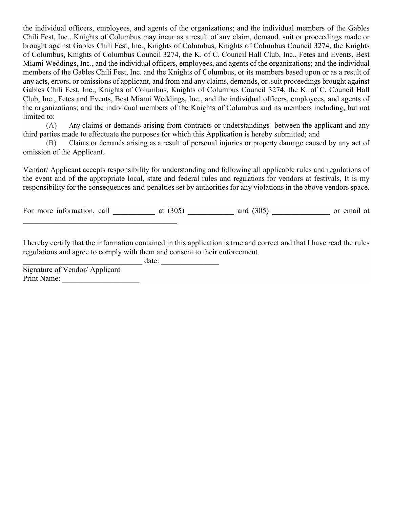the individual officers, employees, and agents of the organizations; and the individual members of the Gables Chili Fest, Inc., Knights of Columbus may incur as a result of anv claim, demand. suit or proceedings made or brought against Gables Chili Fest, Inc., Knights of Columbus, Knights of Columbus Council 3274, the Knights of Columbus, Knights of Columbus Council 3274, the K. of C. Council Hall Club, Inc., Fetes and Events, Best Miami Weddings, Inc., and the individual officers, employees, and agents of the organizations; and the individual members of the Gables Chili Fest, Inc. and the Knights of Columbus, or its members based upon or as a result of any acts, errors, or omissions of applicant, and from and any claims, demands, or .suit proceedings brought against Gables Chili Fest, Inc., Knights of Columbus, Knights of Columbus Council 3274, the K. of C. Council Hall Club, Inc., Fetes and Events, Best Miami Weddings, Inc., and the individual officers, employees, and agents of the organizations; and the individual members of the Knights of Columbus and its members including, but not limited to:

(A) Any claims or demands arising from contracts or understandings between the applicant and any third parties made to effectuate the purposes for which this Application is hereby submitted; and

(B) Claims or demands arising as a result of personal injuries or property damage caused by any act of omission of the Applicant.

Vendor/ Applicant accepts responsibility for understanding and following all applicable rules and regulations of the event and of the appropriate local, state and federal rules and regulations for vendors at festivals, It is my responsibility for the consequences and penalties set by authorities for any violations in the above vendors space.

For more information, call at  $(305)$  and  $(305)$  or email at  $\frac{1}{2}$  , and the set of the set of the set of the set of the set of the set of the set of the set of the set of the set of the set of the set of the set of the set of the set of the set of the set of the set of the set

I hereby certify that the information contained in this application is true and correct and that I have read the rules regulations and agree to comply with them and consent to their enforcement.

date:

Signature of Vendor/ Applicant Print Name: \_\_\_\_\_\_\_\_\_\_\_\_\_\_\_\_\_\_\_\_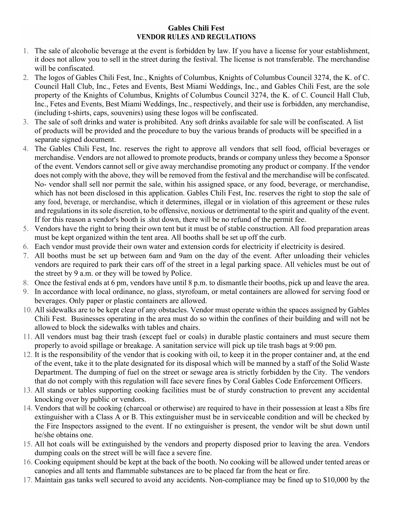#### **Gables Chili Fest VENDOR RULES AND REGULATIONS**

- 1. The sale of alcoholic beverage at the event is forbidden by law. If you have a license for your establishment, it does not allow you to sell in the street during the festival. The license is not transferable. The merchandise will be confiscated.
- 2. The logos of Gables Chili Fest, Inc., Knights of Columbus, Knights of Columbus Council 3274, the K. of C. Council Hall Club, Inc., Fetes and Events, Best Miami Weddings, Inc., and Gables Chili Fest, are the sole property of the Knights of Columbus, Knights of Columbus Council 3274, the K. of C. Council Hall Club, Inc., Fetes and Events, Best Miami Weddings, Inc., respectively, and their use is forbidden, any merchandise, (including t-shirts, caps, souvenirs) using these logos will be confiscated.
- 3. The sale of soft drinks and water is prohibited. Any soft drinks available for sale will be confiscated. A list of products will be provided and the procedure to buy the various brands of products will be specified in a separate signed document.
- 4. The Gables Chili Fest, Inc. reserves the right to approve all vendors that sell food, official beverages or merchandise. Vendors are not allowed to promote products, brands or company unless they become a Sponsor of the event. Vendors cannot sell or give away merchandise promoting any product or company. If the vendor does not comply with the above, they will be removed from the festival and the merchandise will be confiscated. No- vendor shall sell nor permit the sale, within his assigned space, or any food, beverage, or merchandise, which has not been disclosed in this application. Gables Chili Fest, Inc. reserves the right to stop the sale of any food, beverage, or merchandise, which it determines, illegal or in violation of this agreement or these rules and regulations in its sole discretion, to be offensive, noxious or detrimental to the spirit and quality of the event. If for this reason a vendor's booth is .shut down, there will be no refund of the permit fee.
- 5. Vendors have the right to bring their own tent but it must be of stable construction. All food preparation areas must be kept organized within the tent area. All booths shall be set up off the curb.
- 6. Each vendor must provide their own water and extension cords for electricity if electricity is desired.
- 7. All booths must be set up between 6am and 9am on the day of the event. After unloading their vehicles vendors are required to park their cars off of the street in a legal parking space. All vehicles must be out of the street by 9 a.m. or they will be towed by Police.
- 8. Once the festival ends at 6 pm, vendors have until 8 p.m. to dismantle their booths, pick up and leave the area.
- 9. In accordance with local ordinance, no glass, styrofoam, or metal containers are allowed for serving food or beverages. Only paper or plastic containers are allowed.
- 10. All sidewalks are to be kept clear of any obstacles. Vendor must operate within the spaces assigned by Gables Chili Fest. Businesses operating in the area must do so within the confines of their building and will not be allowed to block the sidewalks with tables and chairs.
- 11. All vendors must bag their trash (except fuel or coals) in durable plastic containers and must secure them properly to avoid spillage or breakage. A sanitation service will pick up tile trash bags at 9:00 pm.
- 12. It is the responsibility of the vendor that is cooking with oil, to keep it in the proper container and, at the end of the event, take it to the plate designated for its disposal which will be manned by a staff of the Solid Waste Department. The dumping of fuel on the street or sewage area is strictly forbidden by the City. The vendors that do not comply with this regulation will face severe fines by Coral Gables Code Enforcement Officers.
- 13. All stands or tables supporting cooking facilities must be of sturdy construction to prevent any accidental knocking over by public or vendors.
- 14. Vendors that will be cooking (charcoal or otherwise) are required to have in their possession at least a 8lbs fire extinguisher with a Class A or B. This extinguisher must be in serviceable condition and will be checked by the Fire Inspectors assigned to the event. If no extinguisher is present, the vendor wilt be shut down until he/she obtains one.
- 15. All hot coals will be extinguished by the vendors and property disposed prior to leaving the area. Vendors dumping coals on the street will be will face a severe fine.
- 16. Cooking equipment should be kept at the back of the booth. No cooking will be allowed under tented areas or canopies and all tents and flammable substances are to be placed far from the heat or fire.
- 17. Maintain gas tanks well secured to avoid any accidents. Non-compliance may be fined up to \$10,000 by the